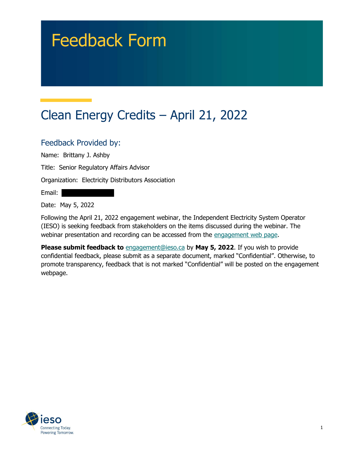# Feedback Form

# Clean Energy Credits – April 21, 2022

## Feedback Provided by:

Name: Brittany J. Ashby

Title: Senior Regulatory Affairs Advisor

Organization: Electricity Distributors Association

Email:

Date: May 5, 2022

 Following the April 21, 2022 engagement webinar, the Independent Electricity System Operator (IESO) is seeking feedback from stakeholders on the items discussed during the webinar. The webinar presentation and recording can be accessed from the engagement web page.

Please submit feedback to **[engagement@ieso.ca](mailto:engagement@ieso.ca)** by May 5, 2022. If you wish to provide confidential feedback, please submit as a separate document, marked "Confidential". Otherwise, to promote transparency, feedback that is not marked "Confidential" will be posted on the engagement webpage.

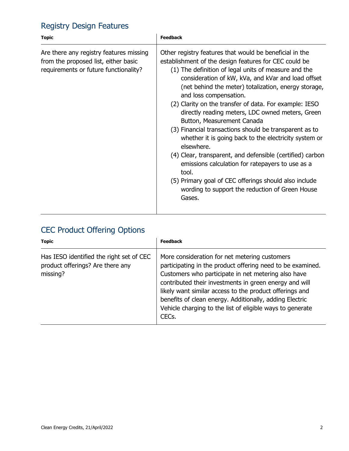# Registry Design Features

| <b>Topic</b>                                                                                                             | <b>Feedback</b>                                                                                                                                                                                                                                                                                                                                                                                                                                                                                                                                                                                                                                                                                                                                                                                                                               |
|--------------------------------------------------------------------------------------------------------------------------|-----------------------------------------------------------------------------------------------------------------------------------------------------------------------------------------------------------------------------------------------------------------------------------------------------------------------------------------------------------------------------------------------------------------------------------------------------------------------------------------------------------------------------------------------------------------------------------------------------------------------------------------------------------------------------------------------------------------------------------------------------------------------------------------------------------------------------------------------|
| Are there any registry features missing<br>from the proposed list, either basic<br>requirements or future functionality? | Other registry features that would be beneficial in the<br>establishment of the design features for CEC could be<br>(1) The definition of legal units of measure and the<br>consideration of kW, kVa, and kVar and load offset<br>(net behind the meter) totalization, energy storage,<br>and loss compensation.<br>(2) Clarity on the transfer of data. For example: IESO<br>directly reading meters, LDC owned meters, Green<br>Button, Measurement Canada<br>(3) Financial transactions should be transparent as to<br>whether it is going back to the electricity system or<br>elsewhere.<br>(4) Clear, transparent, and defensible (certified) carbon<br>emissions calculation for ratepayers to use as a<br>tool.<br>(5) Primary goal of CEC offerings should also include<br>wording to support the reduction of Green House<br>Gases. |

## CEC Product Offering Options

| <b>Topic</b>                                                                             | <b>Feedback</b>                                                                                                                                                                                                                                                                                                                                                                                                                       |
|------------------------------------------------------------------------------------------|---------------------------------------------------------------------------------------------------------------------------------------------------------------------------------------------------------------------------------------------------------------------------------------------------------------------------------------------------------------------------------------------------------------------------------------|
| Has IESO identified the right set of CEC<br>product offerings? Are there any<br>missing? | More consideration for net metering customers<br>participating in the product offering need to be examined.<br>Customers who participate in net metering also have<br>contributed their investments in green energy and will<br>likely want similar access to the product offerings and<br>benefits of clean energy. Additionally, adding Electric<br>Vehicle charging to the list of eligible ways to generate<br>CEC <sub>s</sub> . |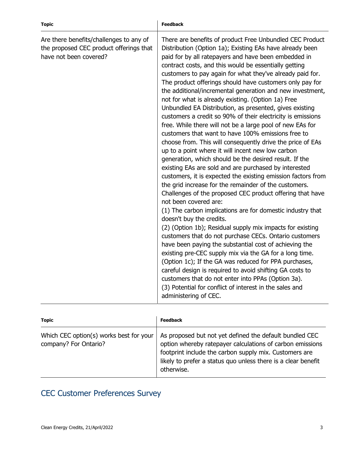| <b>Topic</b>                                                                                                 | <b>Feedback</b>                                                                                                                                                                                                                                                                                                                                                                                                                                                                                                                                                                                                                                                                                                                                                                                                                                                                                                                                                                                                                                                                                                                                                                                                                                                                                                                                                                                                                                                                                                                                                                                                                                                                                                                                                                          |
|--------------------------------------------------------------------------------------------------------------|------------------------------------------------------------------------------------------------------------------------------------------------------------------------------------------------------------------------------------------------------------------------------------------------------------------------------------------------------------------------------------------------------------------------------------------------------------------------------------------------------------------------------------------------------------------------------------------------------------------------------------------------------------------------------------------------------------------------------------------------------------------------------------------------------------------------------------------------------------------------------------------------------------------------------------------------------------------------------------------------------------------------------------------------------------------------------------------------------------------------------------------------------------------------------------------------------------------------------------------------------------------------------------------------------------------------------------------------------------------------------------------------------------------------------------------------------------------------------------------------------------------------------------------------------------------------------------------------------------------------------------------------------------------------------------------------------------------------------------------------------------------------------------------|
| Are there benefits/challenges to any of<br>the proposed CEC product offerings that<br>have not been covered? | There are benefits of product Free Unbundled CEC Product<br>Distribution (Option 1a); Existing EAs have already been<br>paid for by all ratepayers and have been embedded in<br>contract costs, and this would be essentially getting<br>customers to pay again for what they've already paid for.<br>The product offerings should have customers only pay for<br>the additional/incremental generation and new investment,<br>not for what is already existing. (Option 1a) Free<br>Unbundled EA Distribution, as presented, gives existing<br>customers a credit so 90% of their electricity is emissions<br>free. While there will not be a large pool of new EAs for<br>customers that want to have 100% emissions free to<br>choose from. This will consequently drive the price of EAs<br>up to a point where it will incent new low carbon<br>generation, which should be the desired result. If the<br>existing EAs are sold and are purchased by interested<br>customers, it is expected the existing emission factors from<br>the grid increase for the remainder of the customers.<br>Challenges of the proposed CEC product offering that have<br>not been covered are:<br>(1) The carbon implications are for domestic industry that<br>doesn't buy the credits.<br>(2) (Option 1b); Residual supply mix impacts for existing<br>customers that do not purchase CECs. Ontario customers<br>have been paying the substantial cost of achieving the<br>existing pre-CEC supply mix via the GA for a long time.<br>(Option 1c); If the GA was reduced for PPA purchases,<br>careful design is required to avoid shifting GA costs to<br>customers that do not enter into PPAs (Option 3a).<br>(3) Potential for conflict of interest in the sales and<br>administering of CEC. |

| <b>Topic</b>                                                     | <b>Feedback</b>                                                                                                                                                                                                                                               |
|------------------------------------------------------------------|---------------------------------------------------------------------------------------------------------------------------------------------------------------------------------------------------------------------------------------------------------------|
| Which CEC option(s) works best for your<br>company? For Ontario? | As proposed but not yet defined the default bundled CEC<br>option whereby ratepayer calculations of carbon emissions<br>footprint include the carbon supply mix. Customers are<br>likely to prefer a status quo unless there is a clear benefit<br>otherwise. |

#### CEC Customer Preferences Survey